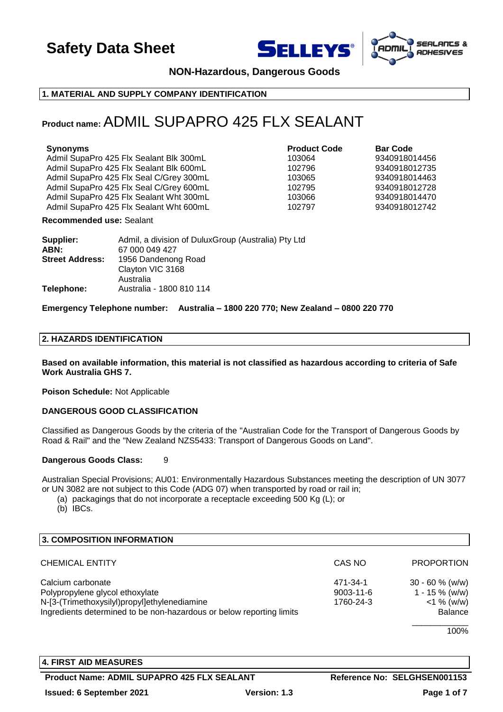





**NON-Hazardous, Dangerous Goods**

## **1. MATERIAL AND SUPPLY COMPANY IDENTIFICATION**

## **Product name:**ADMIL SUPAPRO 425 FLX SEALANT

## **Synonyms Product Code Bar Code**

Admil SupaPro 425 Flx Sealant Blk 300mL 103064 9340918014456 Admil SupaPro 425 Flx Sealant Blk 600mL 102796 9340918012735 Admil SupaPro 425 Flx Seal C/Grey 300mL 103065 9340918014463 Admil SupaPro 425 Flx Seal C/Grey 600mL 102795 9340918012728 Admil SupaPro 425 Flx Sealant Wht 300mL 103066 9340918014470 Admil SupaPro 425 Flx Sealant Wht 600mL 102797 9340918012742

#### **Recommended use:** Sealant

| Supplier:              | Admil, a division of DuluxGroup (Australia) Pty Ltd |
|------------------------|-----------------------------------------------------|
| ABN:                   | 67 000 049 427                                      |
| <b>Street Address:</b> | 1956 Dandenong Road                                 |
|                        | Clayton VIC 3168                                    |
|                        | Australia                                           |
| Telephone:             | Australia - 1800 810 114                            |

#### **Emergency Telephone number: Australia – 1800 220 770; New Zealand – 0800 220 770**

#### **2. HAZARDS IDENTIFICATION**

**Based on available information, this material is not classified as hazardous according to criteria of Safe Work Australia GHS 7.**

**Poison Schedule:** Not Applicable

#### **DANGEROUS GOOD CLASSIFICATION**

Classified as Dangerous Goods by the criteria of the "Australian Code for the Transport of Dangerous Goods by Road & Rail" and the "New Zealand NZS5433: Transport of Dangerous Goods on Land".

#### **Dangerous Goods Class:** 9

Australian Special Provisions; AU01: Environmentally Hazardous Substances meeting the description of UN 3077 or UN 3082 are not subject to this Code (ADG 07) when transported by road or rail in;

(a) packagings that do not incorporate a receptacle exceeding 500 Kg (L); or

(b) IBCs.

| 3. COMPOSITION INFORMATION                                           |                 |                   |
|----------------------------------------------------------------------|-----------------|-------------------|
| <b>CHEMICAL ENTITY</b>                                               | CAS NO          | <b>PROPORTION</b> |
| Calcium carbonate                                                    | 471-34-1        | $30 - 60 %$ (w/w) |
| Polypropylene glycol ethoxylate                                      | $9003 - 11 - 6$ | $1 - 15 \%$ (w/w) |
| N-[3-(Trimethoxysilyl)propyl]ethylenediamine                         | 1760-24-3       | $<$ 1 % (w/w)     |
| Ingredients determined to be non-hazardous or below reporting limits |                 | <b>Balance</b>    |
|                                                                      |                 |                   |

100%

## **4. FIRST AID MEASURES**

**Product Name: ADMIL SUPAPRO 425 FLX SEALANT Reference No: SELGHSEN001153**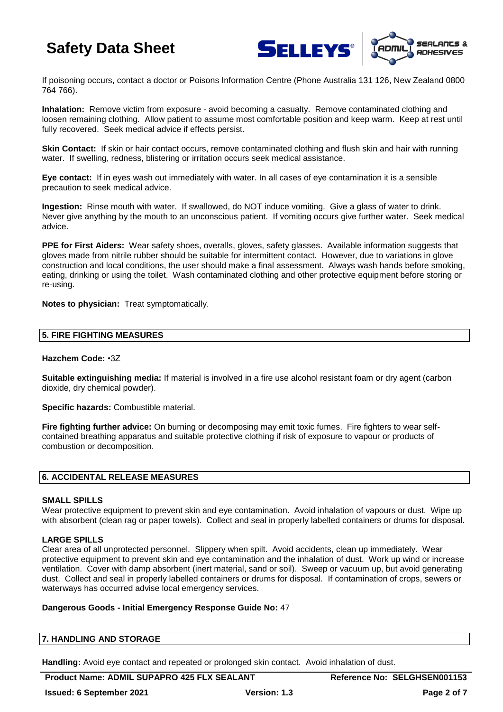



If poisoning occurs, contact a doctor or Poisons Information Centre (Phone Australia 131 126, New Zealand 0800 764 766).

**Inhalation:** Remove victim from exposure - avoid becoming a casualty. Remove contaminated clothing and loosen remaining clothing. Allow patient to assume most comfortable position and keep warm. Keep at rest until fully recovered. Seek medical advice if effects persist.

**Skin Contact:** If skin or hair contact occurs, remove contaminated clothing and flush skin and hair with running water. If swelling, redness, blistering or irritation occurs seek medical assistance.

**Eye contact:** If in eyes wash out immediately with water. In all cases of eye contamination it is a sensible precaution to seek medical advice.

**Ingestion:** Rinse mouth with water. If swallowed, do NOT induce vomiting. Give a glass of water to drink. Never give anything by the mouth to an unconscious patient. If vomiting occurs give further water. Seek medical advice.

**PPE for First Aiders:** Wear safety shoes, overalls, gloves, safety glasses. Available information suggests that gloves made from nitrile rubber should be suitable for intermittent contact. However, due to variations in glove construction and local conditions, the user should make a final assessment. Always wash hands before smoking, eating, drinking or using the toilet. Wash contaminated clothing and other protective equipment before storing or re-using.

**Notes to physician:** Treat symptomatically.

#### **5. FIRE FIGHTING MEASURES**

#### **Hazchem Code:** •3Z

**Suitable extinguishing media:** If material is involved in a fire use alcohol resistant foam or dry agent (carbon dioxide, dry chemical powder).

**Specific hazards:** Combustible material.

**Fire fighting further advice:** On burning or decomposing may emit toxic fumes. Fire fighters to wear selfcontained breathing apparatus and suitable protective clothing if risk of exposure to vapour or products of combustion or decomposition.

#### **6. ACCIDENTAL RELEASE MEASURES**

#### **SMALL SPILLS**

Wear protective equipment to prevent skin and eye contamination. Avoid inhalation of vapours or dust. Wipe up with absorbent (clean rag or paper towels). Collect and seal in properly labelled containers or drums for disposal.

## **LARGE SPILLS**

Clear area of all unprotected personnel. Slippery when spilt. Avoid accidents, clean up immediately. Wear protective equipment to prevent skin and eye contamination and the inhalation of dust. Work up wind or increase ventilation. Cover with damp absorbent (inert material, sand or soil). Sweep or vacuum up, but avoid generating dust. Collect and seal in properly labelled containers or drums for disposal. If contamination of crops, sewers or waterways has occurred advise local emergency services.

#### **Dangerous Goods - Initial Emergency Response Guide No:** 47

|  | 7. HANDLING AND STORAGE |
|--|-------------------------|
|--|-------------------------|

**Handling:** Avoid eye contact and repeated or prolonged skin contact. Avoid inhalation of dust.

**Product Name: ADMIL SUPAPRO 425 FLX SEALANT Reference No: SELGHSEN001153**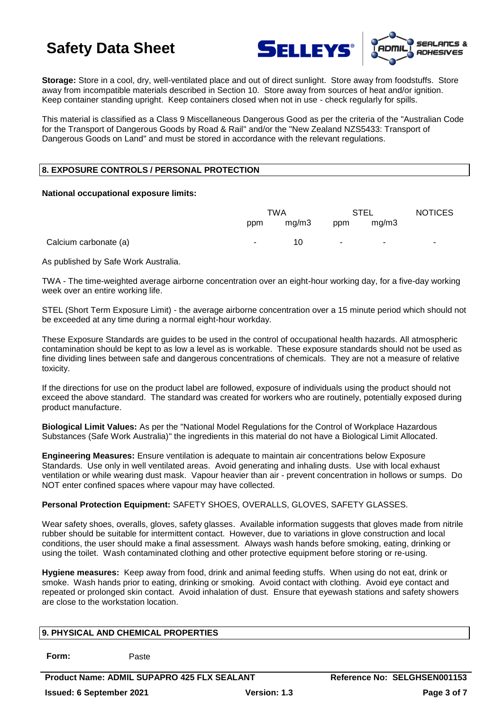



**Storage:** Store in a cool, dry, well-ventilated place and out of direct sunlight. Store away from foodstuffs. Store away from incompatible materials described in Section 10. Store away from sources of heat and/or ignition. Keep container standing upright. Keep containers closed when not in use - check regularly for spills.

This material is classified as a Class 9 Miscellaneous Dangerous Good as per the criteria of the "Australian Code for the Transport of Dangerous Goods by Road & Rail" and/or the "New Zealand NZS5433: Transport of Dangerous Goods on Land" and must be stored in accordance with the relevant regulations.

## **8. EXPOSURE CONTROLS / PERSONAL PROTECTION**

#### **National occupational exposure limits:**

|                       | TWA |       | STEL   |        | <b>NOTICES</b> |
|-----------------------|-----|-------|--------|--------|----------------|
|                       | ppm | mg/m3 | ppm    | mg/m3  |                |
| Calcium carbonate (a) | ٠.  | 10    | $\sim$ | $\sim$ | ۰              |

As published by Safe Work Australia.

TWA - The time-weighted average airborne concentration over an eight-hour working day, for a five-day working week over an entire working life.

STEL (Short Term Exposure Limit) - the average airborne concentration over a 15 minute period which should not be exceeded at any time during a normal eight-hour workday.

These Exposure Standards are guides to be used in the control of occupational health hazards. All atmospheric contamination should be kept to as low a level as is workable. These exposure standards should not be used as fine dividing lines between safe and dangerous concentrations of chemicals. They are not a measure of relative toxicity.

If the directions for use on the product label are followed, exposure of individuals using the product should not exceed the above standard. The standard was created for workers who are routinely, potentially exposed during product manufacture.

**Biological Limit Values:** As per the "National Model Regulations for the Control of Workplace Hazardous Substances (Safe Work Australia)" the ingredients in this material do not have a Biological Limit Allocated.

**Engineering Measures:** Ensure ventilation is adequate to maintain air concentrations below Exposure Standards. Use only in well ventilated areas. Avoid generating and inhaling dusts. Use with local exhaust ventilation or while wearing dust mask. Vapour heavier than air - prevent concentration in hollows or sumps. Do NOT enter confined spaces where vapour may have collected.

## **Personal Protection Equipment:** SAFETY SHOES, OVERALLS, GLOVES, SAFETY GLASSES.

Wear safety shoes, overalls, gloves, safety glasses. Available information suggests that gloves made from nitrile rubber should be suitable for intermittent contact. However, due to variations in glove construction and local conditions, the user should make a final assessment. Always wash hands before smoking, eating, drinking or using the toilet. Wash contaminated clothing and other protective equipment before storing or re-using.

**Hygiene measures:** Keep away from food, drink and animal feeding stuffs. When using do not eat, drink or smoke. Wash hands prior to eating, drinking or smoking. Avoid contact with clothing. Avoid eye contact and repeated or prolonged skin contact. Avoid inhalation of dust. Ensure that eyewash stations and safety showers are close to the workstation location.

## **9. PHYSICAL AND CHEMICAL PROPERTIES**

**Form:** Paste

**Product Name: ADMIL SUPAPRO 425 FLX SEALANT Reference No: SELGHSEN001153 Issued: 6 September 2021 Version: 1.3 Page 3 of 7**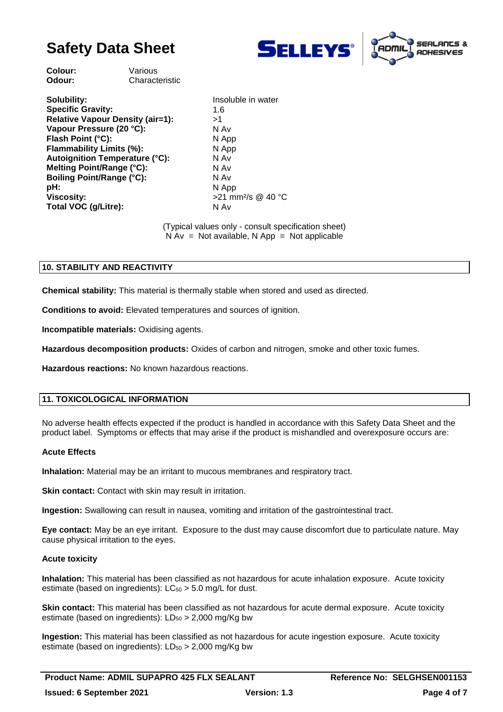



**Colour:** Various **Odour:** Characteristic

**Solubility:** Insoluble in water **Specific Gravity:** 1.6 **Relative Vapour Density (air=1):** >1 **Vapour Pressure (20 °C):** N Av **Flash Point (°C):** N App **Flammability Limits (%):** N App **Autoignition Temperature (°C):** N Av **Melting Point/Range (°C):** N Av **Boiling Point/Range (°C):** N Av **pH:** N App **Viscosity:**  $>21$  mm<sup>2</sup>/s @ 40 °C Total VOC (g/Litre): N Av

(Typical values only - consult specification sheet)  $N Av = Not available, N App = Not applicable$ 

## **10. STABILITY AND REACTIVITY**

**Chemical stability:** This material is thermally stable when stored and used as directed.

**Conditions to avoid:** Elevated temperatures and sources of ignition.

**Incompatible materials:** Oxidising agents.

**Hazardous decomposition products:** Oxides of carbon and nitrogen, smoke and other toxic fumes.

**Hazardous reactions:** No known hazardous reactions.

## **11. TOXICOLOGICAL INFORMATION**

No adverse health effects expected if the product is handled in accordance with this Safety Data Sheet and the product label. Symptoms or effects that may arise if the product is mishandled and overexposure occurs are:

#### **Acute Effects**

**Inhalation:** Material may be an irritant to mucous membranes and respiratory tract.

**Skin contact:** Contact with skin may result in irritation.

**Ingestion:** Swallowing can result in nausea, vomiting and irritation of the gastrointestinal tract.

**Eye contact:** May be an eye irritant. Exposure to the dust may cause discomfort due to particulate nature. May cause physical irritation to the eyes.

## **Acute toxicity**

**Inhalation:** This material has been classified as not hazardous for acute inhalation exposure. Acute toxicity estimate (based on ingredients):  $LC_{50} > 5.0$  mg/L for dust.

**Skin contact:** This material has been classified as not hazardous for acute dermal exposure. Acute toxicity estimate (based on ingredients):  $LD_{50} > 2,000$  mg/Kg bw

**Ingestion:** This material has been classified as not hazardous for acute ingestion exposure. Acute toxicity estimate (based on ingredients):  $LD_{50} > 2,000$  mg/Kg bw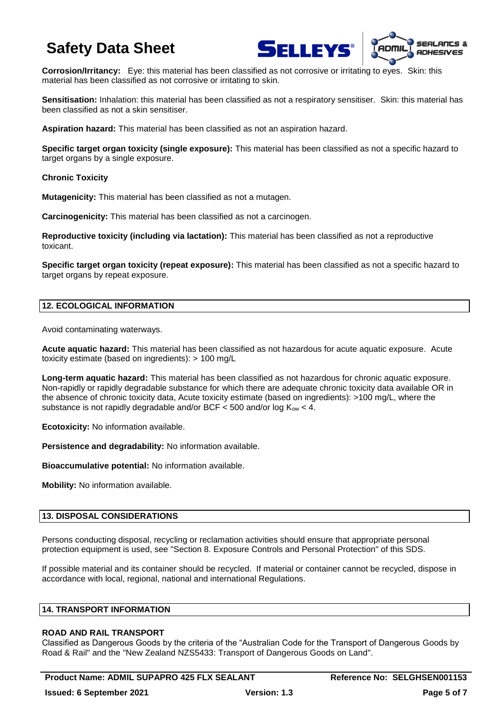



**Corrosion/Irritancy:** Eye: this material has been classified as not corrosive or irritating to eyes. Skin: this material has been classified as not corrosive or irritating to skin.

**Sensitisation:** Inhalation: this material has been classified as not a respiratory sensitiser. Skin: this material has been classified as not a skin sensitiser.

**Aspiration hazard:** This material has been classified as not an aspiration hazard.

**Specific target organ toxicity (single exposure):** This material has been classified as not a specific hazard to target organs by a single exposure.

**Chronic Toxicity**

**Mutagenicity:** This material has been classified as not a mutagen.

**Carcinogenicity:** This material has been classified as not a carcinogen.

**Reproductive toxicity (including via lactation):** This material has been classified as not a reproductive toxicant.

**Specific target organ toxicity (repeat exposure):** This material has been classified as not a specific hazard to target organs by repeat exposure.

## **12. ECOLOGICAL INFORMATION**

Avoid contaminating waterways.

**Acute aquatic hazard:** This material has been classified as not hazardous for acute aquatic exposure. Acute toxicity estimate (based on ingredients): > 100 mg/L

**Long-term aquatic hazard:** This material has been classified as not hazardous for chronic aquatic exposure. Non-rapidly or rapidly degradable substance for which there are adequate chronic toxicity data available OR in the absence of chronic toxicity data, Acute toxicity estimate (based on ingredients): >100 mg/L, where the substance is not rapidly degradable and/or BCF  $\lt$  500 and/or log K<sub>ow</sub>  $\lt$  4.

**Ecotoxicity:** No information available.

**Persistence and degradability:** No information available.

**Bioaccumulative potential:** No information available.

**Mobility:** No information available.

## **13. DISPOSAL CONSIDERATIONS**

Persons conducting disposal, recycling or reclamation activities should ensure that appropriate personal protection equipment is used, see "Section 8. Exposure Controls and Personal Protection" of this SDS.

If possible material and its container should be recycled. If material or container cannot be recycled, dispose in accordance with local, regional, national and international Regulations.

## **14. TRANSPORT INFORMATION**

## **ROAD AND RAIL TRANSPORT**

Classified as Dangerous Goods by the criteria of the "Australian Code for the Transport of Dangerous Goods by Road & Rail" and the "New Zealand NZS5433: Transport of Dangerous Goods on Land".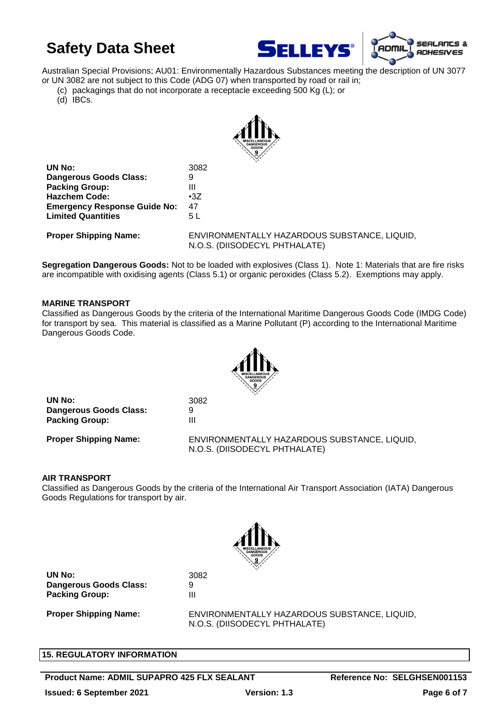



Australian Special Provisions; AU01: Environmentally Hazardous Substances meeting the description of UN 3077 or UN 3082 are not subject to this Code (ADG 07) when transported by road or rail in;

(c) packagings that do not incorporate a receptacle exceeding 500 Kg (L); or

(d) IBCs.



| UN No:                              | 3082           |
|-------------------------------------|----------------|
| <b>Dangerous Goods Class:</b>       | 9              |
| <b>Packing Group:</b>               | Ш              |
| <b>Hazchem Code:</b>                | $\cdot 37$     |
| <b>Emergency Response Guide No:</b> | 47             |
| <b>Limited Quantities</b>           | 5 <sub>L</sub> |
|                                     |                |

**Proper Shipping Name:** ENVIRONMENTALLY HAZARDOUS SUBSTANCE, LIQUID, N.O.S. (DIISODECYL PHTHALATE)

**Segregation Dangerous Goods:** Not to be loaded with explosives (Class 1). Note 1: Materials that are fire risks are incompatible with oxidising agents (Class 5.1) or organic peroxides (Class 5.2). Exemptions may apply.

## **MARINE TRANSPORT**

Classified as Dangerous Goods by the criteria of the International Maritime Dangerous Goods Code (IMDG Code) for transport by sea. This material is classified as a Marine Pollutant (P) according to the International Maritime Dangerous Goods Code.



**UN No:** 3082 **Dangerous Goods Class:** 9 **Packing Group:** III

**Proper Shipping Name:** ENVIRONMENTALLY HAZARDOUS SUBSTANCE, LIQUID, N.O.S. (DIISODECYL PHTHALATE)

## **AIR TRANSPORT**

Classified as Dangerous Goods by the criteria of the International Air Transport Association (IATA) Dangerous Goods Regulations for transport by air.



**UN No:** 3082 **Dangerous Goods Class:** 9 **Packing Group:** III

**Proper Shipping Name:** ENVIRONMENTALLY HAZARDOUS SUBSTANCE, LIQUID, N.O.S. (DIISODECYL PHTHALATE)

## **15. REGULATORY INFORMATION**